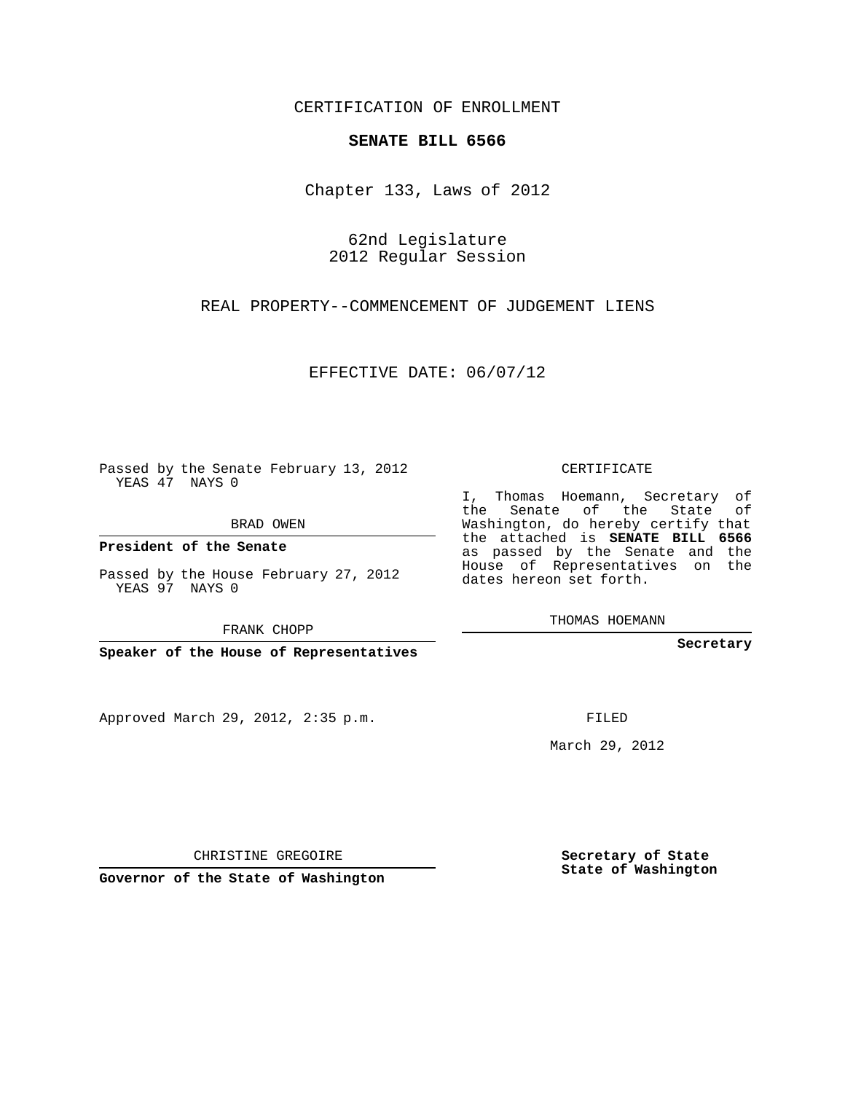## CERTIFICATION OF ENROLLMENT

## **SENATE BILL 6566**

Chapter 133, Laws of 2012

62nd Legislature 2012 Regular Session

REAL PROPERTY--COMMENCEMENT OF JUDGEMENT LIENS

EFFECTIVE DATE: 06/07/12

Passed by the Senate February 13, 2012 YEAS 47 NAYS 0

BRAD OWEN

**President of the Senate**

Passed by the House February 27, 2012 YEAS 97 NAYS 0

FRANK CHOPP

**Speaker of the House of Representatives**

Approved March 29, 2012, 2:35 p.m.

CERTIFICATE

I, Thomas Hoemann, Secretary of the Senate of the State of Washington, do hereby certify that the attached is **SENATE BILL 6566** as passed by the Senate and the House of Representatives on the dates hereon set forth.

THOMAS HOEMANN

**Secretary**

FILED

March 29, 2012

**Secretary of State State of Washington**

CHRISTINE GREGOIRE

**Governor of the State of Washington**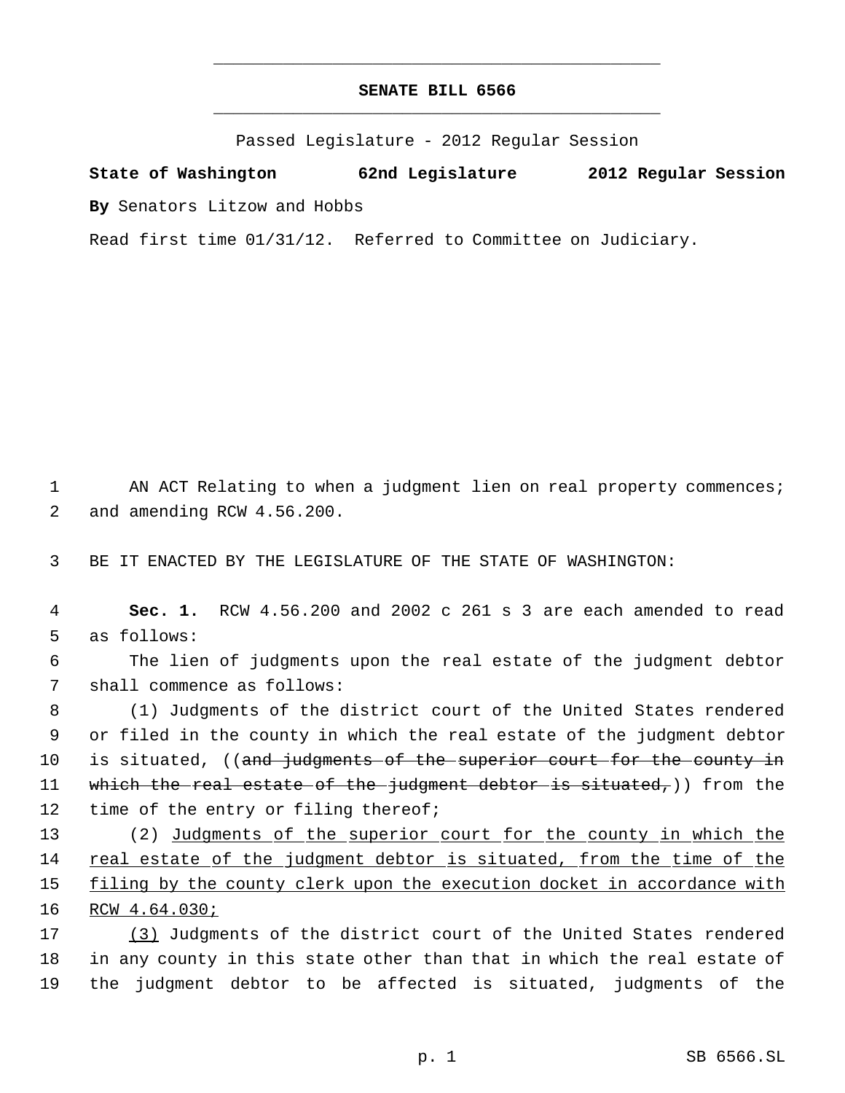## **SENATE BILL 6566** \_\_\_\_\_\_\_\_\_\_\_\_\_\_\_\_\_\_\_\_\_\_\_\_\_\_\_\_\_\_\_\_\_\_\_\_\_\_\_\_\_\_\_\_\_

\_\_\_\_\_\_\_\_\_\_\_\_\_\_\_\_\_\_\_\_\_\_\_\_\_\_\_\_\_\_\_\_\_\_\_\_\_\_\_\_\_\_\_\_\_

Passed Legislature - 2012 Regular Session

**State of Washington 62nd Legislature 2012 Regular Session By** Senators Litzow and Hobbs

Read first time 01/31/12. Referred to Committee on Judiciary.

1 AN ACT Relating to when a judgment lien on real property commences; 2 and amending RCW 4.56.200.

3 BE IT ENACTED BY THE LEGISLATURE OF THE STATE OF WASHINGTON:

 4 **Sec. 1.** RCW 4.56.200 and 2002 c 261 s 3 are each amended to read 5 as follows:

 6 The lien of judgments upon the real estate of the judgment debtor 7 shall commence as follows:

 8 (1) Judgments of the district court of the United States rendered 9 or filed in the county in which the real estate of the judgment debtor 10 is situated, ((and judgments of the superior court for the county in 11 which the real estate of the judgment debtor is situated,)) from the 12 time of the entry or filing thereof;

 (2) Judgments of the superior court for the county in which the real estate of the judgment debtor is situated, from the time of the 15 filing by the county clerk upon the execution docket in accordance with RCW 4.64.030;

17 (3) Judgments of the district court of the United States rendered 18 in any county in this state other than that in which the real estate of 19 the judgment debtor to be affected is situated, judgments of the